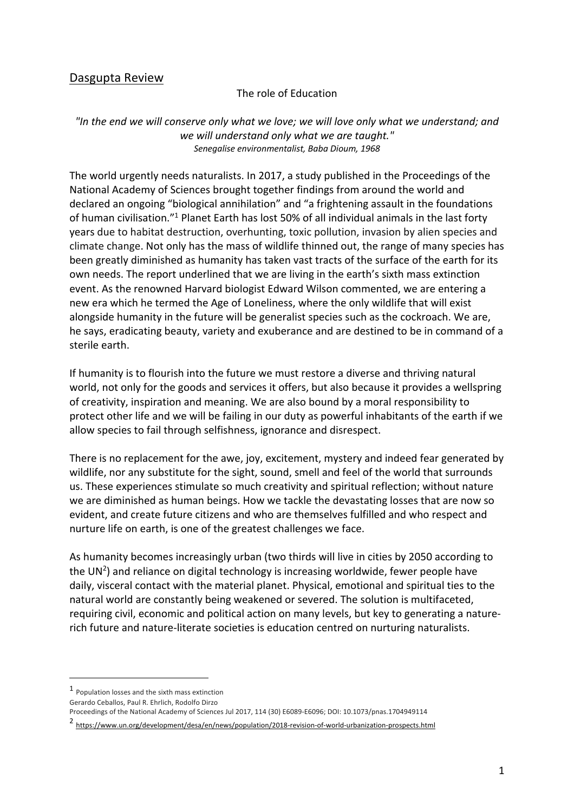## Dasgupta Review

## The role of Education

*"In the end we will conserve only what we love; we will love only what we understand; and we will understand only what we are taught." Senegalise environmentalist, Baba Dioum, 1968*

The world urgently needs naturalists. In 2017, a study published in the Proceedings of the National Academy of Sciences brought together findings from around the world and declared an ongoing "biological annihilation" and "a frightening assault in the foundations of human civilisation."1 Planet Earth has lost 50% of all individual animals in the last forty years due to habitat destruction, overhunting, toxic pollution, invasion by alien species and climate change. Not only has the mass of wildlife thinned out, the range of many species has been greatly diminished as humanity has taken vast tracts of the surface of the earth for its own needs. The report underlined that we are living in the earth's sixth mass extinction event. As the renowned Harvard biologist Edward Wilson commented, we are entering a new era which he termed the Age of Loneliness, where the only wildlife that will exist alongside humanity in the future will be generalist species such as the cockroach. We are, he says, eradicating beauty, variety and exuberance and are destined to be in command of a sterile earth.

If humanity is to flourish into the future we must restore a diverse and thriving natural world, not only for the goods and services it offers, but also because it provides a wellspring of creativity, inspiration and meaning. We are also bound by a moral responsibility to protect other life and we will be failing in our duty as powerful inhabitants of the earth if we allow species to fail through selfishness, ignorance and disrespect.

There is no replacement for the awe, joy, excitement, mystery and indeed fear generated by wildlife, nor any substitute for the sight, sound, smell and feel of the world that surrounds us. These experiences stimulate so much creativity and spiritual reflection; without nature we are diminished as human beings. How we tackle the devastating losses that are now so evident, and create future citizens and who are themselves fulfilled and who respect and nurture life on earth, is one of the greatest challenges we face.

As humanity becomes increasingly urban (two thirds will live in cities by 2050 according to the UN<sup>2</sup>) and reliance on digital technology is increasing worldwide, fewer people have daily, visceral contact with the material planet. Physical, emotional and spiritual ties to the natural world are constantly being weakened or severed. The solution is multifaceted, requiring civil, economic and political action on many levels, but key to generating a naturerich future and nature-literate societies is education centred on nurturing naturalists.

<sup>1</sup> Population losses and the sixth mass extinction

Gerardo Ceballos, Paul R. Ehrlich, Rodolfo Dirzo

Proceedings of the National Academy of Sciences Jul 2017, 114 (30) E6089-E6096; DOI: 10.1073/pnas.1704949114

<sup>2</sup> https://www.un.org/development/desa/en/news/population/2018-revision-of-world-urbanization-prospects.html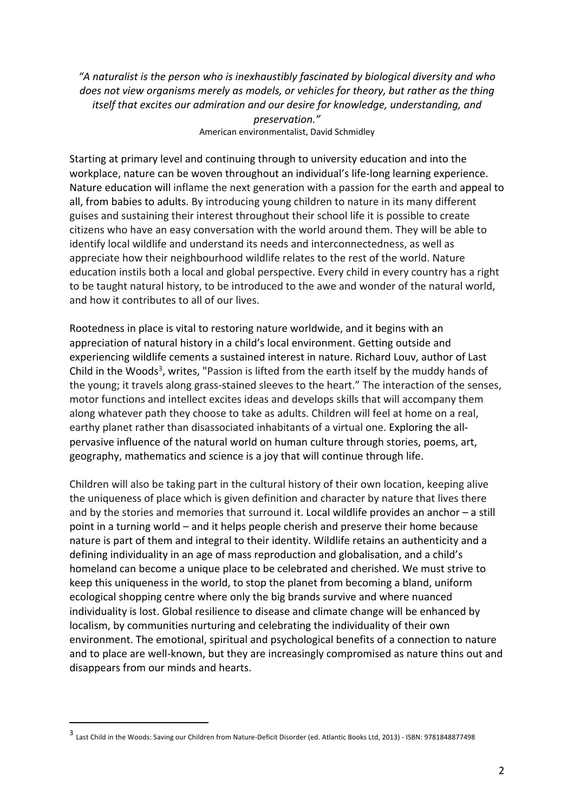*"A naturalist is the person who is inexhaustibly fascinated by biological diversity and who does not view organisms merely as models, or vehicles for theory, but rather as the thing itself that excites our admiration and our desire for knowledge, understanding, and preservation."*

American environmentalist, David Schmidley

Starting at primary level and continuing through to university education and into the workplace, nature can be woven throughout an individual's life-long learning experience. Nature education will inflame the next generation with a passion for the earth and appeal to all, from babies to adults. By introducing young children to nature in its many different guises and sustaining their interest throughout their school life it is possible to create citizens who have an easy conversation with the world around them. They will be able to identify local wildlife and understand its needs and interconnectedness, as well as appreciate how their neighbourhood wildlife relates to the rest of the world. Nature education instils both a local and global perspective. Every child in every country has a right to be taught natural history, to be introduced to the awe and wonder of the natural world, and how it contributes to all of our lives.

Rootedness in place is vital to restoring nature worldwide, and it begins with an appreciation of natural history in a child's local environment. Getting outside and experiencing wildlife cements a sustained interest in nature. Richard Louv, author of Last Child in the Woods<sup>3</sup>, writes, "Passion is lifted from the earth itself by the muddy hands of the young; it travels along grass-stained sleeves to the heart." The interaction of the senses, motor functions and intellect excites ideas and develops skills that will accompany them along whatever path they choose to take as adults. Children will feel at home on a real, earthy planet rather than disassociated inhabitants of a virtual one. Exploring the allpervasive influence of the natural world on human culture through stories, poems, art, geography, mathematics and science is a joy that will continue through life.

Children will also be taking part in the cultural history of their own location, keeping alive the uniqueness of place which is given definition and character by nature that lives there and by the stories and memories that surround it. Local wildlife provides an anchor – a still point in a turning world – and it helps people cherish and preserve their home because nature is part of them and integral to their identity. Wildlife retains an authenticity and a defining individuality in an age of mass reproduction and globalisation, and a child's homeland can become a unique place to be celebrated and cherished. We must strive to keep this uniqueness in the world, to stop the planet from becoming a bland, uniform ecological shopping centre where only the big brands survive and where nuanced individuality is lost. Global resilience to disease and climate change will be enhanced by localism, by communities nurturing and celebrating the individuality of their own environment. The emotional, spiritual and psychological benefits of a connection to nature and to place are well-known, but they are increasingly compromised as nature thins out and disappears from our minds and hearts.

<sup>3</sup> Last Child in the Woods: Saving our Children from Nature-Deficit Disorder (ed. Atlantic Books Ltd, 2013) - ISBN: 9781848877498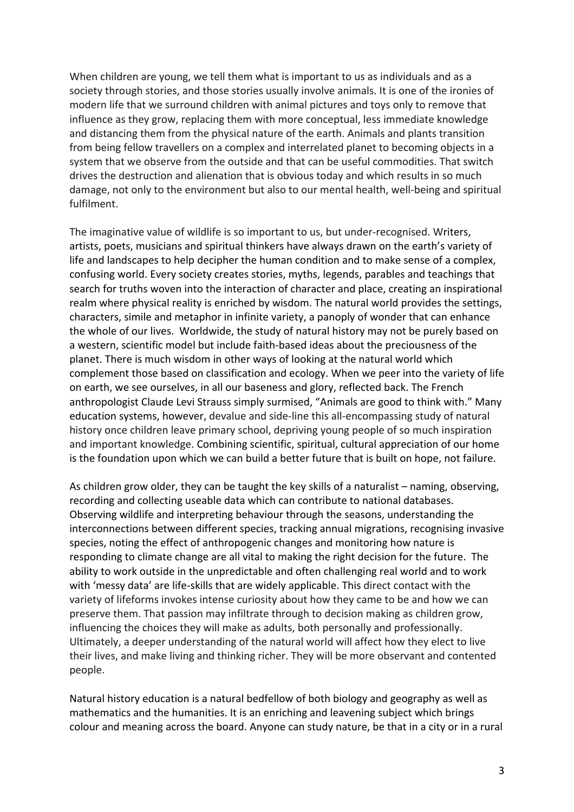When children are young, we tell them what is important to us as individuals and as a society through stories, and those stories usually involve animals. It is one of the ironies of modern life that we surround children with animal pictures and toys only to remove that influence as they grow, replacing them with more conceptual, less immediate knowledge and distancing them from the physical nature of the earth. Animals and plants transition from being fellow travellers on a complex and interrelated planet to becoming objects in a system that we observe from the outside and that can be useful commodities. That switch drives the destruction and alienation that is obvious today and which results in so much damage, not only to the environment but also to our mental health, well-being and spiritual fulfilment.

The imaginative value of wildlife is so important to us, but under-recognised. Writers, artists, poets, musicians and spiritual thinkers have always drawn on the earth's variety of life and landscapes to help decipher the human condition and to make sense of a complex, confusing world. Every society creates stories, myths, legends, parables and teachings that search for truths woven into the interaction of character and place, creating an inspirational realm where physical reality is enriched by wisdom. The natural world provides the settings, characters, simile and metaphor in infinite variety, a panoply of wonder that can enhance the whole of our lives. Worldwide, the study of natural history may not be purely based on a western, scientific model but include faith-based ideas about the preciousness of the planet. There is much wisdom in other ways of looking at the natural world which complement those based on classification and ecology. When we peer into the variety of life on earth, we see ourselves, in all our baseness and glory, reflected back. The French anthropologist Claude Levi Strauss simply surmised, "Animals are good to think with." Many education systems, however, devalue and side-line this all-encompassing study of natural history once children leave primary school, depriving young people of so much inspiration and important knowledge. Combining scientific, spiritual, cultural appreciation of our home is the foundation upon which we can build a better future that is built on hope, not failure.

As children grow older, they can be taught the key skills of a naturalist – naming, observing, recording and collecting useable data which can contribute to national databases. Observing wildlife and interpreting behaviour through the seasons, understanding the interconnections between different species, tracking annual migrations, recognising invasive species, noting the effect of anthropogenic changes and monitoring how nature is responding to climate change are all vital to making the right decision for the future. The ability to work outside in the unpredictable and often challenging real world and to work with 'messy data' are life-skills that are widely applicable. This direct contact with the variety of lifeforms invokes intense curiosity about how they came to be and how we can preserve them. That passion may infiltrate through to decision making as children grow, influencing the choices they will make as adults, both personally and professionally. Ultimately, a deeper understanding of the natural world will affect how they elect to live their lives, and make living and thinking richer. They will be more observant and contented people.

Natural history education is a natural bedfellow of both biology and geography as well as mathematics and the humanities. It is an enriching and leavening subject which brings colour and meaning across the board. Anyone can study nature, be that in a city or in a rural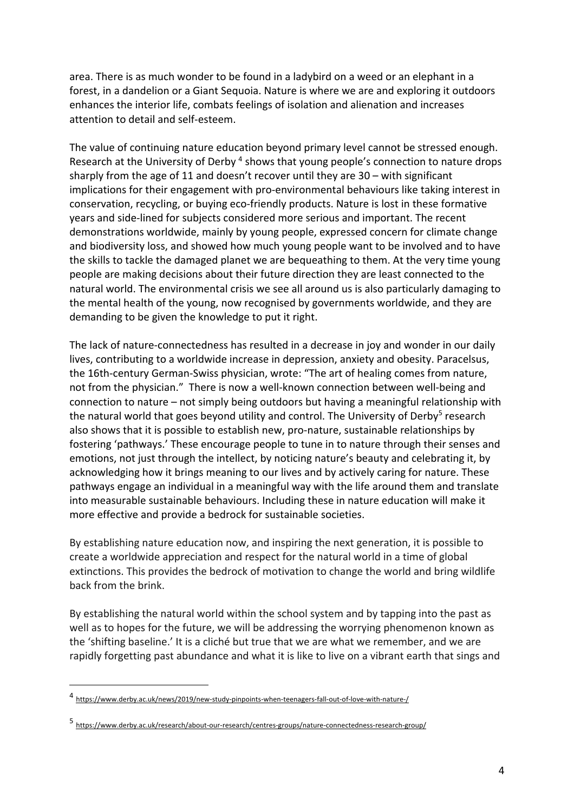area. There is as much wonder to be found in a ladybird on a weed or an elephant in a forest, in a dandelion or a Giant Sequoia. Nature is where we are and exploring it outdoors enhances the interior life, combats feelings of isolation and alienation and increases attention to detail and self-esteem.

The value of continuing nature education beyond primary level cannot be stressed enough. Research at the University of Derby 4 shows that young people's connection to nature drops sharply from the age of 11 and doesn't recover until they are 30 – with significant implications for their engagement with pro-environmental behaviours like taking interest in conservation, recycling, or buying eco-friendly products. Nature is lost in these formative years and side-lined for subjects considered more serious and important. The recent demonstrations worldwide, mainly by young people, expressed concern for climate change and biodiversity loss, and showed how much young people want to be involved and to have the skills to tackle the damaged planet we are bequeathing to them. At the very time young people are making decisions about their future direction they are least connected to the natural world. The environmental crisis we see all around us is also particularly damaging to the mental health of the young, now recognised by governments worldwide, and they are demanding to be given the knowledge to put it right.

The lack of nature-connectedness has resulted in a decrease in joy and wonder in our daily lives, contributing to a worldwide increase in depression, anxiety and obesity. Paracelsus, the 16th-century German-Swiss physician, wrote: "The art of healing comes from nature, not from the physician." There is now a well-known connection between well-being and connection to nature – not simply being outdoors but having a meaningful relationship with the natural world that goes beyond utility and control. The University of Derby<sup>5</sup> research also shows that it is possible to establish new, pro-nature, sustainable relationships by fostering 'pathways.' These encourage people to tune in to nature through their senses and emotions, not just through the intellect, by noticing nature's beauty and celebrating it, by acknowledging how it brings meaning to our lives and by actively caring for nature. These pathways engage an individual in a meaningful way with the life around them and translate into measurable sustainable behaviours. Including these in nature education will make it more effective and provide a bedrock for sustainable societies.

By establishing nature education now, and inspiring the next generation, it is possible to create a worldwide appreciation and respect for the natural world in a time of global extinctions. This provides the bedrock of motivation to change the world and bring wildlife back from the brink.

By establishing the natural world within the school system and by tapping into the past as well as to hopes for the future, we will be addressing the worrying phenomenon known as the 'shifting baseline.' It is a cliché but true that we are what we remember, and we are rapidly forgetting past abundance and what it is like to live on a vibrant earth that sings and

<sup>4</sup> https://www.derby.ac.uk/news/2019/new-study-pinpoints-when-teenagers-fall-out-of-love-with-nature-/

<sup>5</sup> https://www.derby.ac.uk/research/about-our-research/centres-groups/nature-connectedness-research-group/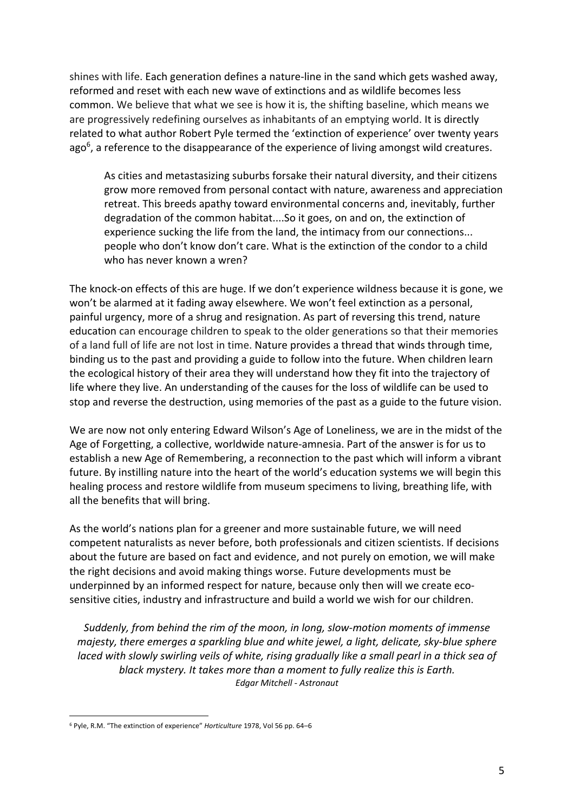shines with life. Each generation defines a nature-line in the sand which gets washed away, reformed and reset with each new wave of extinctions and as wildlife becomes less common. We believe that what we see is how it is, the shifting baseline, which means we are progressively redefining ourselves as inhabitants of an emptying world. It is directly related to what author Robert Pyle termed the 'extinction of experience' over twenty years ago<sup>6</sup>, a reference to the disappearance of the experience of living amongst wild creatures.

As cities and metastasizing suburbs forsake their natural diversity, and their citizens grow more removed from personal contact with nature, awareness and appreciation retreat. This breeds apathy toward environmental concerns and, inevitably, further degradation of the common habitat....So it goes, on and on, the extinction of experience sucking the life from the land, the intimacy from our connections... people who don't know don't care. What is the extinction of the condor to a child who has never known a wren?

The knock-on effects of this are huge. If we don't experience wildness because it is gone, we won't be alarmed at it fading away elsewhere. We won't feel extinction as a personal, painful urgency, more of a shrug and resignation. As part of reversing this trend, nature education can encourage children to speak to the older generations so that their memories of a land full of life are not lost in time. Nature provides a thread that winds through time, binding us to the past and providing a guide to follow into the future. When children learn the ecological history of their area they will understand how they fit into the trajectory of life where they live. An understanding of the causes for the loss of wildlife can be used to stop and reverse the destruction, using memories of the past as a guide to the future vision.

We are now not only entering Edward Wilson's Age of Loneliness, we are in the midst of the Age of Forgetting, a collective, worldwide nature-amnesia. Part of the answer is for us to establish a new Age of Remembering, a reconnection to the past which will inform a vibrant future. By instilling nature into the heart of the world's education systems we will begin this healing process and restore wildlife from museum specimens to living, breathing life, with all the benefits that will bring.

As the world's nations plan for a greener and more sustainable future, we will need competent naturalists as never before, both professionals and citizen scientists. If decisions about the future are based on fact and evidence, and not purely on emotion, we will make the right decisions and avoid making things worse. Future developments must be underpinned by an informed respect for nature, because only then will we create ecosensitive cities, industry and infrastructure and build a world we wish for our children.

*Suddenly, from behind the rim of the moon, in long, slow-motion moments of immense majesty, there emerges a sparkling blue and white jewel, a light, delicate, sky-blue sphere laced with slowly swirling veils of white, rising gradually like a small pearl in a thick sea of black mystery. It takes more than a moment to fully realize this is Earth. Edgar Mitchell - Astronaut*

<sup>6</sup> Pyle, R.M. "The extinction of experience" *Horticulture* 1978, Vol 56 pp. 64–6